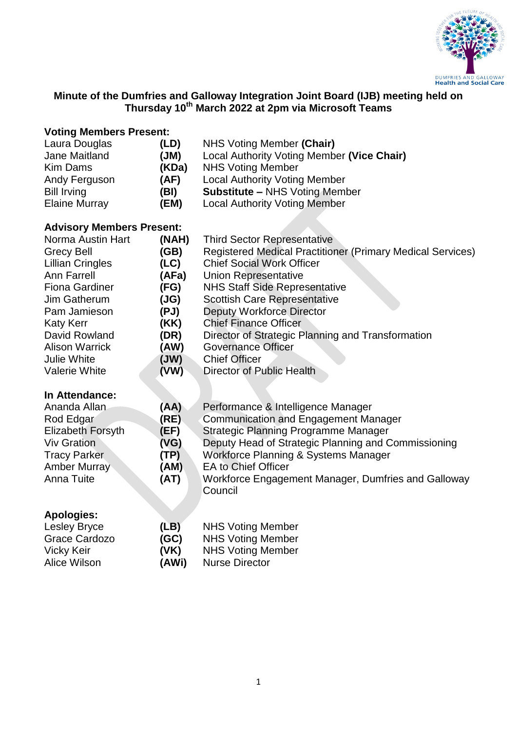

# **Minute of the Dumfries and Galloway Integration Joint Board (IJB) meeting held on Thursday 10th March 2022 at 2pm via Microsoft Teams**

# **Voting Members Present:**

| Laura Douglas        | (LD)  | NHS Voting Member (Chair)                  |
|----------------------|-------|--------------------------------------------|
| Jane Maitland        | (MU)  | Local Authority Voting Member (Vice Chair) |
| Kim Dams             | (KDa) | <b>NHS Voting Member</b>                   |
| Andy Ferguson        | (AF)  | <b>Local Authority Voting Member</b>       |
| <b>Bill Irving</b>   | (BI)  | <b>Substitute - NHS Voting Member</b>      |
| <b>Elaine Murray</b> | (EM)  | <b>Local Authority Voting Member</b>       |

# **Advisory Members Present:**

| Norma Austin Hart       | (NAH) | <b>Third Sector Representative</b>                         |
|-------------------------|-------|------------------------------------------------------------|
| <b>Grecy Bell</b>       | (GB)  | Registered Medical Practitioner (Primary Medical Services) |
| <b>Lillian Cringles</b> | (LC)  | <b>Chief Social Work Officer</b>                           |
| Ann Farrell             | (AFa) | Union Representative                                       |
| <b>Fiona Gardiner</b>   | (FG)  | <b>NHS Staff Side Representative</b>                       |
| Jim Gatherum            | (JG)  | <b>Scottish Care Representative</b>                        |
| Pam Jamieson            | (PJ)  | <b>Deputy Workforce Director</b>                           |
| <b>Katy Kerr</b>        | (KK)  | <b>Chief Finance Officer</b>                               |
| David Rowland           | (DR)  | Director of Strategic Planning and Transformation          |
| <b>Alison Warrick</b>   | (AW)  | <b>Governance Officer</b>                                  |
| Julie White             | (WU)  | <b>Chief Officer</b>                                       |
| <b>Valerie White</b>    | (VW)  | Director of Public Health                                  |

#### **In Attendance:**

| Ananda Allan             | (AA) | Performance & Intelligence Manager                  |
|--------------------------|------|-----------------------------------------------------|
| Rod Edgar                | (RE) | <b>Communication and Engagement Manager</b>         |
| <b>Elizabeth Forsyth</b> | (EF) | Strategic Planning Programme Manager                |
| <b>Viv Gration</b>       | (VG) | Deputy Head of Strategic Planning and Commissioning |
| <b>Tracy Parker</b>      | (TP) | Workforce Planning & Systems Manager                |
| Amber Murray             | (AM) | <b>EA to Chief Officer</b>                          |
| Anna Tuite               | (AT) | Workforce Engagement Manager, Dumfries and Galloway |
|                          |      | Council                                             |
|                          |      |                                                     |
| Apologies:               |      |                                                     |

| Lesley Bryce  | (LB)  | <b>NHS Voting Member</b> |
|---------------|-------|--------------------------|
| Grace Cardozo | (GC)  | <b>NHS Voting Member</b> |
| Vicky Keir    | (VK)  | <b>NHS Voting Member</b> |
| Alice Wilson  | (AWi) | <b>Nurse Director</b>    |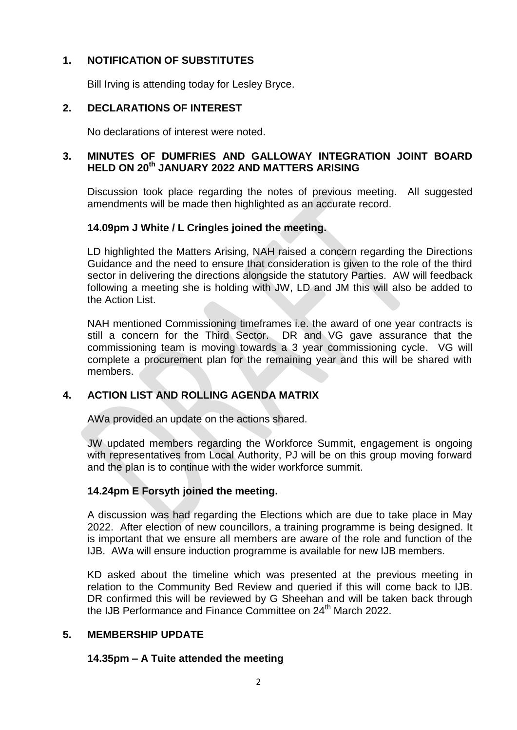# **1. NOTIFICATION OF SUBSTITUTES**

Bill Irving is attending today for Lesley Bryce.

#### **2. DECLARATIONS OF INTEREST**

No declarations of interest were noted.

#### **3. MINUTES OF DUMFRIES AND GALLOWAY INTEGRATION JOINT BOARD HELD ON 20th JANUARY 2022 AND MATTERS ARISING**

Discussion took place regarding the notes of previous meeting. All suggested amendments will be made then highlighted as an accurate record.

#### **14.09pm J White / L Cringles joined the meeting.**

LD highlighted the Matters Arising, NAH raised a concern regarding the Directions Guidance and the need to ensure that consideration is given to the role of the third sector in delivering the directions alongside the statutory Parties. AW will feedback following a meeting she is holding with JW, LD and JM this will also be added to the Action List.

NAH mentioned Commissioning timeframes i.e. the award of one year contracts is still a concern for the Third Sector. DR and VG gave assurance that the commissioning team is moving towards a 3 year commissioning cycle. VG will complete a procurement plan for the remaining year and this will be shared with members.

#### **4. ACTION LIST AND ROLLING AGENDA MATRIX**

AWa provided an update on the actions shared.

JW updated members regarding the Workforce Summit, engagement is ongoing with representatives from Local Authority, PJ will be on this group moving forward and the plan is to continue with the wider workforce summit.

#### **14.24pm E Forsyth joined the meeting.**

A discussion was had regarding the Elections which are due to take place in May 2022. After election of new councillors, a training programme is being designed. It is important that we ensure all members are aware of the role and function of the IJB. AWa will ensure induction programme is available for new IJB members.

KD asked about the timeline which was presented at the previous meeting in relation to the Community Bed Review and queried if this will come back to IJB. DR confirmed this will be reviewed by G Sheehan and will be taken back through the IJB Performance and Finance Committee on 24<sup>th</sup> March 2022.

#### **5. MEMBERSHIP UPDATE**

#### **14.35pm – A Tuite attended the meeting**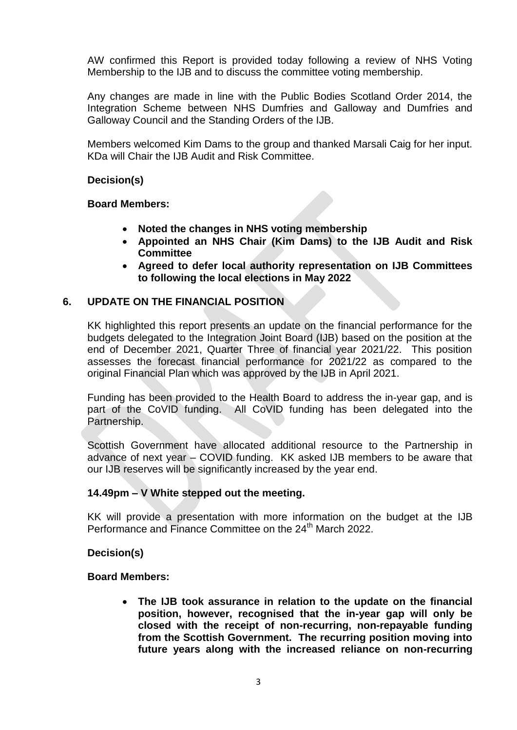AW confirmed this Report is provided today following a review of NHS Voting Membership to the IJB and to discuss the committee voting membership.

Any changes are made in line with the Public Bodies Scotland Order 2014, the Integration Scheme between NHS Dumfries and Galloway and Dumfries and Galloway Council and the Standing Orders of the IJB.

Members welcomed Kim Dams to the group and thanked Marsali Caig for her input. KDa will Chair the IJB Audit and Risk Committee.

#### **Decision(s)**

**Board Members:**

- **Noted the changes in NHS voting membership**
- **Appointed an NHS Chair (Kim Dams) to the IJB Audit and Risk Committee**
- **Agreed to defer local authority representation on IJB Committees to following the local elections in May 2022**

# **6. UPDATE ON THE FINANCIAL POSITION**

KK highlighted this report presents an update on the financial performance for the budgets delegated to the Integration Joint Board (IJB) based on the position at the end of December 2021, Quarter Three of financial year 2021/22. This position assesses the forecast financial performance for 2021/22 as compared to the original Financial Plan which was approved by the IJB in April 2021.

Funding has been provided to the Health Board to address the in-year gap, and is part of the CoVID funding. All CoVID funding has been delegated into the Partnership.

Scottish Government have allocated additional resource to the Partnership in advance of next year – COVID funding. KK asked IJB members to be aware that our IJB reserves will be significantly increased by the year end.

#### **14.49pm – V White stepped out the meeting.**

KK will provide a presentation with more information on the budget at the IJB Performance and Finance Committee on the 24<sup>th</sup> March 2022.

#### **Decision(s)**

#### **Board Members:**

 **The IJB took assurance in relation to the update on the financial position, however, recognised that the in-year gap will only be closed with the receipt of non-recurring, non-repayable funding from the Scottish Government. The recurring position moving into future years along with the increased reliance on non-recurring**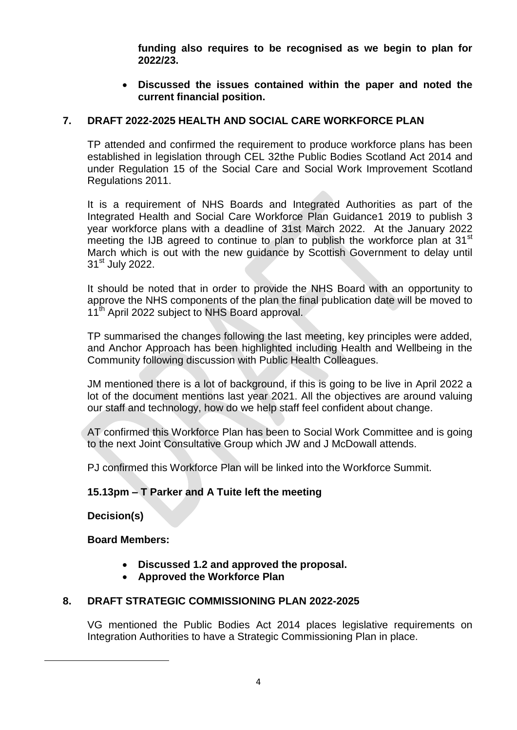**funding also requires to be recognised as we begin to plan for 2022/23.** 

 **Discussed the issues contained within the paper and noted the current financial position.** 

# **7. DRAFT 2022-2025 HEALTH AND SOCIAL CARE WORKFORCE PLAN**

TP attended and confirmed the requirement to produce workforce plans has been established in legislation through CEL 32the Public Bodies Scotland Act 2014 and under Regulation 15 of the Social Care and Social Work Improvement Scotland Regulations 2011.

It is a requirement of NHS Boards and Integrated Authorities as part of the Integrated Health and Social Care Workforce Plan Guidance1 2019 to publish 3 year workforce plans with a deadline of 31st March 2022. At the January 2022 meeting the IJB agreed to continue to plan to publish the workforce plan at 31<sup>st</sup> March which is out with the new guidance by Scottish Government to delay until 31<sup>st</sup> July 2022.

It should be noted that in order to provide the NHS Board with an opportunity to approve the NHS components of the plan the final publication date will be moved to 11<sup>th</sup> April 2022 subject to NHS Board approval.

TP summarised the changes following the last meeting, key principles were added, and Anchor Approach has been highlighted including Health and Wellbeing in the Community following discussion with Public Health Colleagues.

JM mentioned there is a lot of background, if this is going to be live in April 2022 a lot of the document mentions last year 2021. All the objectives are around valuing our staff and technology, how do we help staff feel confident about change.

AT confirmed this Workforce Plan has been to Social Work Committee and is going to the next Joint Consultative Group which JW and J McDowall attends.

PJ confirmed this Workforce Plan will be linked into the Workforce Summit.

#### **15.13pm – T Parker and A Tuite left the meeting**

**Decision(s)**

**.** 

#### **Board Members:**

- **Discussed 1.2 and approved the proposal.**
- **Approved the Workforce Plan**

#### **8. DRAFT STRATEGIC COMMISSIONING PLAN 2022-2025**

VG mentioned the Public Bodies Act 2014 places legislative requirements on Integration Authorities to have a Strategic Commissioning Plan in place.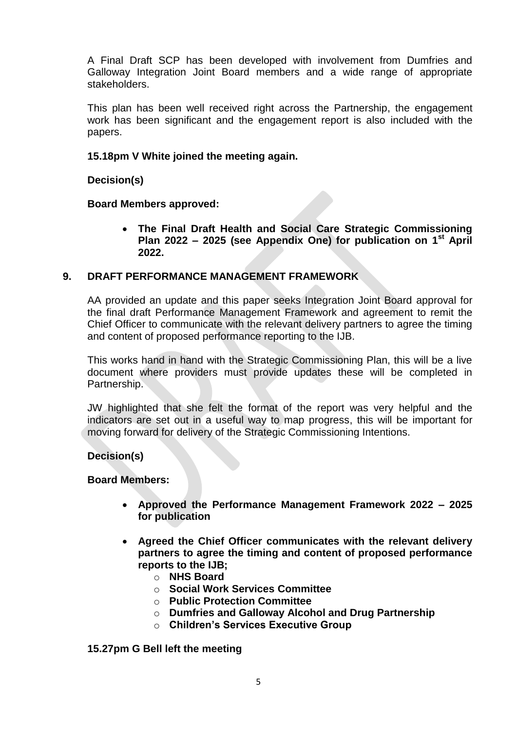A Final Draft SCP has been developed with involvement from Dumfries and Galloway Integration Joint Board members and a wide range of appropriate stakeholders.

This plan has been well received right across the Partnership, the engagement work has been significant and the engagement report is also included with the papers.

#### **15.18pm V White joined the meeting again.**

# **Decision(s)**

# **Board Members approved:**

 **The Final Draft Health and Social Care Strategic Commissioning Plan 2022 – 2025 (see Appendix One) for publication on 1st April 2022.** 

# **9. DRAFT PERFORMANCE MANAGEMENT FRAMEWORK**

AA provided an update and this paper seeks Integration Joint Board approval for the final draft Performance Management Framework and agreement to remit the Chief Officer to communicate with the relevant delivery partners to agree the timing and content of proposed performance reporting to the IJB.

This works hand in hand with the Strategic Commissioning Plan, this will be a live document where providers must provide updates these will be completed in Partnership.

JW highlighted that she felt the format of the report was very helpful and the indicators are set out in a useful way to map progress, this will be important for moving forward for delivery of the Strategic Commissioning Intentions.

#### **Decision(s)**

#### **Board Members:**

- **Approved the Performance Management Framework 2022 – 2025 for publication**
- **Agreed the Chief Officer communicates with the relevant delivery partners to agree the timing and content of proposed performance reports to the IJB;**
	- o **NHS Board**
	- o **Social Work Services Committee**
	- o **Public Protection Committee**
	- o **Dumfries and Galloway Alcohol and Drug Partnership**
	- o **Children's Services Executive Group**

#### **15.27pm G Bell left the meeting**